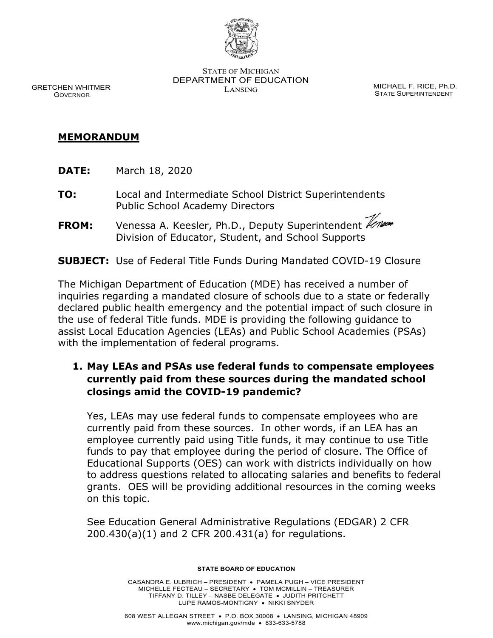

STATE OF MICHIGAN DEPARTMENT OF EDUCATION LANSING CONTROL CONTROL MICHAEL F. RICE, Ph.D.

STATE SUPERINTENDENT

GRETCHEN WHITMER GOVERNOR

#### **MEMORANDUM**

**DATE:** March 18, 2020

- **TO:** Local and Intermediate School District Superintendents Public School Academy Directors
- **FROM:** Venessa A. Keesler, Ph.D., Deputy Superintendent Veneral Division of Educator, Student, and School Supports

### **SUBJECT:** Use of Federal Title Funds During Mandated COVID-19 Closure

The Michigan Department of Education (MDE) has received a number of inquiries regarding a mandated closure of schools due to a state or federally declared public health emergency and the potential impact of such closure in the use of federal Title funds. MDE is providing the following guidance to assist Local Education Agencies (LEAs) and Public School Academies (PSAs) with the implementation of federal programs.

## **1. May LEAs and PSAs use federal funds to compensate employees currently paid from these sources during the mandated school closings amid the COVID-19 pandemic?**

Yes, LEAs may use federal funds to compensate employees who are currently paid from these sources. In other words, if an LEA has an employee currently paid using Title funds, it may continue to use Title funds to pay that employee during the period of closure. The Office of Educational Supports (OES) can work with districts individually on how to address questions related to allocating salaries and benefits to federal grants. OES will be providing additional resources in the coming weeks on this topic.

See Education General Administrative Regulations (EDGAR) 2 CFR 200.430(a)(1) and 2 CFR 200.431(a) for regulations.

**STATE BOARD OF EDUCATION**

CASANDRA E. ULBRICH – PRESIDENT • PAMELA PUGH – VICE PRESIDENT MICHELLE FECTEAU – SECRETARY • TOM MCMILLIN – TREASURER TIFFANY D. TILLEY – NASBE DELEGATE • JUDITH PRITCHETT LUPE RAMOS-MONTIGNY • NIKKI SNYDER